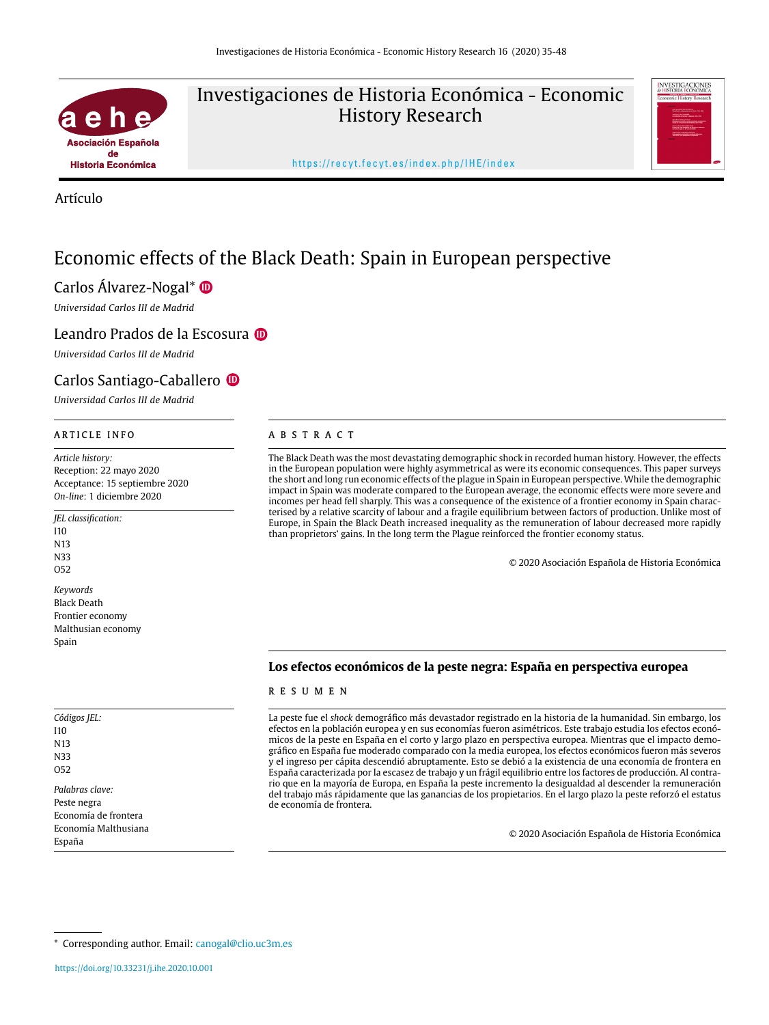

# Investigaciones de Historia Económica - Economic History Research



https://recyt.fecyt.es/index.php/IHE/index

Artículo

# Economic effects of the Black Death: Spain in European perspective

# Carlos Álvarez-Nogal\*1 **[ID](https://orcid.org/0000-0002-0175-597X)**

*Universidad Carlos III de Madrid*

## Leandro Prados de la Escosura **O**

*Universidad Carlos III de Madrid*

# Carlos Santiago-Caballero **[ID](https://orcid.org/0000-0003-4040-108X)**

*Universidad Carlos III de Madrid*

*Article history:* Reception: 22 mayo 2020 Acceptance: 15 septiembre 2020 *On-line*: 1 diciembre 2020

*JEL classification:* I10 N13 N33 O52 *Keywords* Black Death Frontier economy Malthusian economy

*Códigos JEL:* I10 N13 N33 O52 *Palabras clave:*

Spain

Peste negra Economía de frontera Economía Malthusiana España

#### ARTICLE INFO ABSTRACT

The Black Death was the most devastating demographic shock in recorded human history. However, the effects in the European population were highly asymmetrical as were its economic consequences. This paper surveys the short and long run economic effects of the plague in Spain in European perspective. While the demographic impact in Spain was moderate compared to the European average, the economic effects were more severe and incomes per head fell sharply. This was a consequence of the existence of a frontier economy in Spain characterised by a relative scarcity of labour and a fragile equilibrium between factors of production. Unlike most of Europe, in Spain the Black Death increased inequality as the remuneration of labour decreased more rapidly than proprietors' gains. In the long term the Plague reinforced the frontier economy status.

© 2020 Asociación Española de Historia Económica

#### **Los efectos económicos de la peste negra: España en perspectiva europea**

#### RESUMEN

La peste fue el *shock* demográfico más devastador registrado en la historia de la humanidad. Sin embargo, los efectos en la población europea y en sus economías fueron asimétricos. Este trabajo estudia los efectos económicos de la peste en España en el corto y largo plazo en perspectiva europea. Mientras que el impacto demográfico en España fue moderado comparado con la media europea, los efectos económicos fueron más severos y el ingreso per cápita descendió abruptamente. Esto se debió a la existencia de una economía de frontera en España caracterizada por la escasez de trabajo y un frágil equilibrio entre los factores de producción. Al contrario que en la mayoría de Europa, en España la peste incremento la desigualdad al descender la remuneración del trabajo más rápidamente que las ganancias de los propietarios. En el largo plazo la peste reforzó el estatus de economía de frontera.

© 2020 Asociación Española de Historia Económica

\* Corresponding author. Email: [canogal@clio.uc3m.es](mailto:canogal@clio.uc3m.es)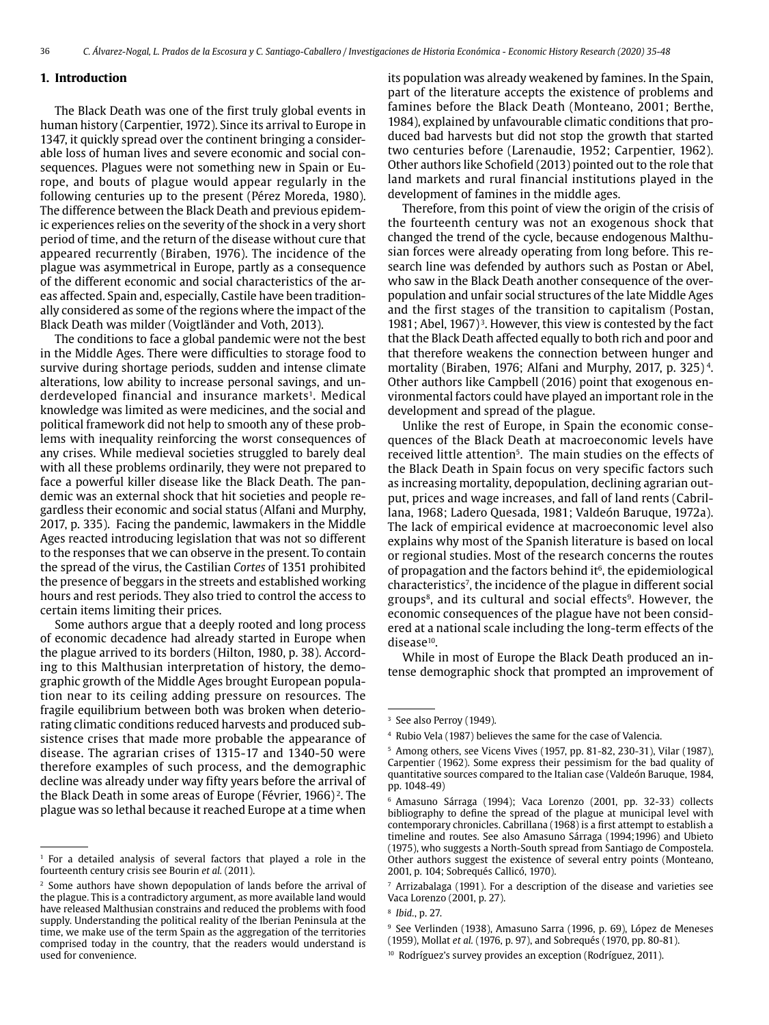#### **1. Introduction**

The Black Death was one of the first truly global events in human history (Carpentier, 1972). Since its arrival to Europe in 1347, it quickly spread over the continent bringing a considerable loss of human lives and severe economic and social consequences. Plagues were not something new in Spain or Europe, and bouts of plague would appear regularly in the following centuries up to the present (Pérez Moreda, 1980). The difference between the Black Death and previous epidemic experiences relies on the severity of the shock in a very short period of time, and the return of the disease without cure that appeared recurrently (Biraben, 1976). The incidence of the plague was asymmetrical in Europe, partly as a consequence of the different economic and social characteristics of the areas affected. Spain and, especially, Castile have been traditionally considered as some of the regions where the impact of the Black Death was milder (Voigtländer and Voth, 2013).

The conditions to face a global pandemic were not the best in the Middle Ages. There were difficulties to storage food to survive during shortage periods, sudden and intense climate alterations, low ability to increase personal savings, and underdeveloped financial and insurance markets<sup>1</sup>. Medical knowledge was limited as were medicines, and the social and political framework did not help to smooth any of these problems with inequality reinforcing the worst consequences of any crises. While medieval societies struggled to barely deal with all these problems ordinarily, they were not prepared to face a powerful killer disease like the Black Death. The pandemic was an external shock that hit societies and people regardless their economic and social status (Alfani and Murphy, 2017, p. 335). Facing the pandemic, lawmakers in the Middle Ages reacted introducing legislation that was not so different to the responses that we can observe in the present. To contain the spread of the virus, the Castilian *Cortes* of 1351 prohibited the presence of beggars in the streets and established working hours and rest periods. They also tried to control the access to certain items limiting their prices.

Some authors argue that a deeply rooted and long process of economic decadence had already started in Europe when the plague arrived to its borders (Hilton, 1980, p. 38). According to this Malthusian interpretation of history, the demographic growth of the Middle Ages brought European population near to its ceiling adding pressure on resources. The fragile equilibrium between both was broken when deteriorating climatic conditions reduced harvests and produced subsistence crises that made more probable the appearance of disease. The agrarian crises of 1315-17 and 1340-50 were therefore examples of such process, and the demographic decline was already under way fifty years before the arrival of the Black Death in some areas of Europe (Février, 1966) 2. The plague was so lethal because it reached Europe at a time when its population was already weakened by famines. In the Spain, part of the literature accepts the existence of problems and famines before the Black Death (Monteano, 2001; Berthe, 1984), explained by unfavourable climatic conditions that produced bad harvests but did not stop the growth that started two centuries before (Larenaudie, 1952; Carpentier, 1962). Other authors like Schofield (2013) pointed out to the role that land markets and rural financial institutions played in the development of famines in the middle ages.

Therefore, from this point of view the origin of the crisis of the fourteenth century was not an exogenous shock that changed the trend of the cycle, because endogenous Malthusian forces were already operating from long before. This research line was defended by authors such as Postan or Abel, who saw in the Black Death another consequence of the overpopulation and unfair social structures of the late Middle Ages and the first stages of the transition to capitalism (Postan, 1981; Abel, 1967)<sup>3</sup>. However, this view is contested by the fact that the Black Death affected equally to both rich and poor and that therefore weakens the connection between hunger and mortality (Biraben, 1976; Alfani and Murphy, 2017, p. 325) 4. Other authors like Campbell (2016) point that exogenous environmental factors could have played an important role in the development and spread of the plague.

Unlike the rest of Europe, in Spain the economic consequences of the Black Death at macroeconomic levels have received little attention<sup>5</sup>. The main studies on the effects of the Black Death in Spain focus on very specific factors such as increasing mortality, depopulation, declining agrarian output, prices and wage increases, and fall of land rents (Cabrillana, 1968; Ladero Quesada, 1981; Valdeón Baruque, 1972a). The lack of empirical evidence at macroeconomic level also explains why most of the Spanish literature is based on local or regional studies. Most of the research concerns the routes of propagation and the factors behind it<sup> $6$ </sup>, the epidemiological characteristics7, the incidence of the plague in different social groups<sup>8</sup>, and its cultural and social effects<sup>9</sup>. However, the economic consequences of the plague have not been considered at a national scale including the long-term effects of the disease<sup>10</sup>.

While in most of Europe the Black Death produced an intense demographic shock that prompted an improvement of

<sup>&</sup>lt;sup>1</sup> For a detailed analysis of several factors that played a role in the fourteenth century crisis see Bourin *et al.* (2011).

<sup>&</sup>lt;sup>2</sup> Some authors have shown depopulation of lands before the arrival of the plague. This is a contradictory argument, as more available land would have released Malthusian constrains and reduced the problems with food supply. Understanding the political reality of the Iberian Peninsula at the time, we make use of the term Spain as the aggregation of the territories comprised today in the country, that the readers would understand is used for convenience.

<sup>&</sup>lt;sup>3</sup> See also Perroy (1949).

<sup>4</sup> Rubio Vela (1987) believes the same for the case of Valencia.

<sup>5</sup> Among others, see Vicens Vives (1957, pp. 81-82, 230-31), Vilar (1987), Carpentier (1962). Some express their pessimism for the bad quality of quantitative sources compared to the Italian case (Valdeón Baruque, 1984, pp. 1048-49)

<sup>6</sup> Amasuno Sárraga (1994); Vaca Lorenzo (2001, pp. 32-33) collects bibliography to define the spread of the plague at municipal level with contemporary chronicles. Cabrillana (1968) is a first attempt to establish a timeline and routes. See also Amasuno Sárraga (1994;1996) and Ubieto (1975), who suggests a North-South spread from Santiago de Compostela. Other authors suggest the existence of several entry points (Monteano, 2001, p. 104; Sobrequés Callicó, 1970).

<sup>7</sup> Arrizabalaga (1991). For a description of the disease and varieties see Vaca Lorenzo (2001, p. 27).

<sup>8</sup> *Ibid.*, p. 27.

<sup>9</sup> See Verlinden (1938), Amasuno Sarra (1996, p. 69), López de Meneses (1959), Mollat *et al.* (1976, p. 97), and Sobrequés (1970, pp. 80-81).

<sup>10</sup> Rodríguez's survey provides an exception (Rodríguez, 2011).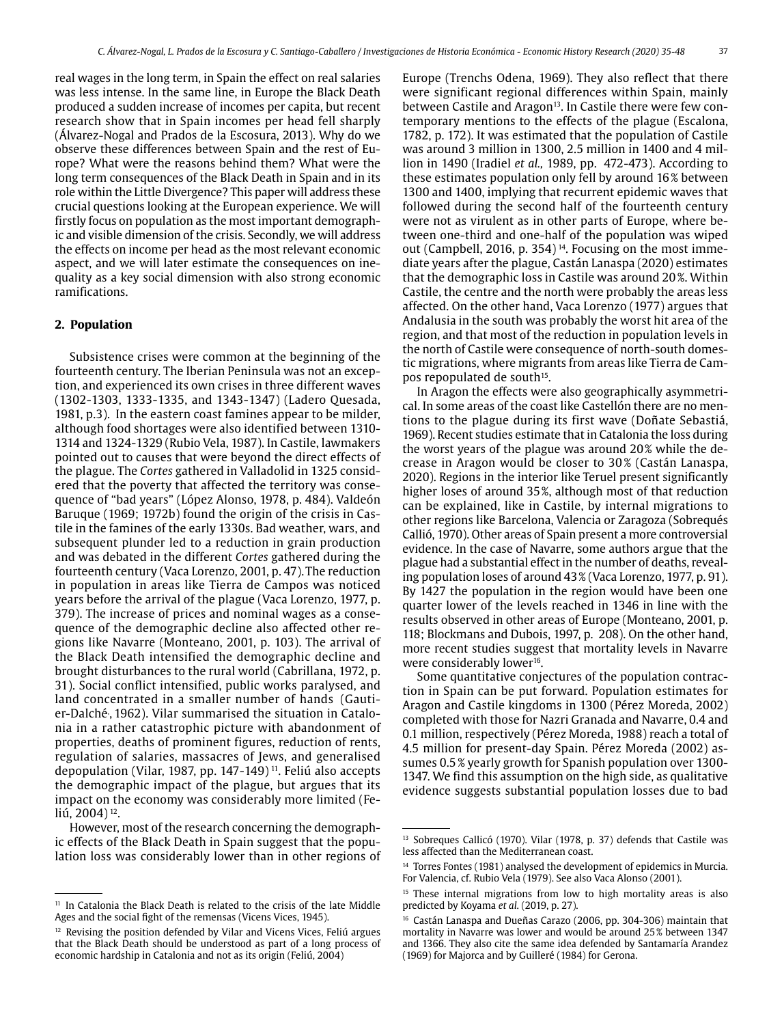real wages in the long term, in Spain the effect on real salaries was less intense. In the same line, in Europe the Black Death produced a sudden increase of incomes per capita, but recent research show that in Spain incomes per head fell sharply (Álvarez-Nogal and Prados de la Escosura, 2013). Why do we observe these differences between Spain and the rest of Europe? What were the reasons behind them? What were the long term consequences of the Black Death in Spain and in its role within the Little Divergence? This paper will address these crucial questions looking at the European experience. We will firstly focus on population as the most important demographic and visible dimension of the crisis. Secondly, we will address the effects on income per head as the most relevant economic aspect, and we will later estimate the consequences on inequality as a key social dimension with also strong economic ramifications.

#### **2. Population**

Subsistence crises were common at the beginning of the fourteenth century. The Iberian Peninsula was not an exception, and experienced its own crises in three different waves (1302-1303, 1333-1335, and 1343-1347) (Ladero Quesada, 1981, p.3). In the eastern coast famines appear to be milder, although food shortages were also identified between 1310- 1314 and 1324-1329 (Rubio Vela, 1987). In Castile, lawmakers pointed out to causes that were beyond the direct effects of the plague. The *Cortes* gathered in Valladolid in 1325 considered that the poverty that affected the territory was consequence of "bad years" (López Alonso, 1978, p. 484). Valdeón Baruque (1969; 1972b) found the origin of the crisis in Castile in the famines of the early 1330s. Bad weather, wars, and subsequent plunder led to a reduction in grain production and was debated in the different *Cortes* gathered during the fourteenth century (Vaca Lorenzo, 2001, p. 47).The reduction in population in areas like Tierra de Campos was noticed years before the arrival of the plague (Vaca Lorenzo, 1977, p. 379). The increase of prices and nominal wages as a consequence of the demographic decline also affected other regions like Navarre (Monteano, 2001, p. 103). The arrival of the Black Death intensified the demographic decline and brought disturbances to the rural world (Cabrillana, 1972, p. 31). Social conflict intensified, public works paralysed, and land concentrated in a smaller number of hands (Gautier-Dalché, , 1962). Vilar summarised the situation in Catalonia in a rather catastrophic picture with abandonment of properties, deaths of prominent figures, reduction of rents, regulation of salaries, massacres of Jews, and generalised depopulation (Vilar, 1987, pp. 147-149)<sup>11</sup>. Feliú also accepts the demographic impact of the plague, but argues that its impact on the economy was considerably more limited (Feliú, 2004)<sup>12</sup>.

However, most of the research concerning the demographic effects of the Black Death in Spain suggest that the population loss was considerably lower than in other regions of Europe (Trenchs Odena, 1969). They also reflect that there were significant regional differences within Spain, mainly between Castile and Aragon<sup>13</sup>. In Castile there were few contemporary mentions to the effects of the plague (Escalona, 1782, p. 172). It was estimated that the population of Castile was around 3 million in 1300, 2.5 million in 1400 and 4 million in 1490 (Iradiel *et al.,* 1989, pp. 472-473). According to these estimates population only fell by around 16% between 1300 and 1400, implying that recurrent epidemic waves that followed during the second half of the fourteenth century were not as virulent as in other parts of Europe, where between one-third and one-half of the population was wiped out (Campbell, 2016, p. 354) 14. Focusing on the most immediate years after the plague, Castán Lanaspa (2020) estimates that the demographic loss in Castile was around 20%. Within Castile, the centre and the north were probably the areas less affected. On the other hand, Vaca Lorenzo (1977) argues that Andalusia in the south was probably the worst hit area of the region, and that most of the reduction in population levels in the north of Castile were consequence of north-south domestic migrations, where migrants from areas like Tierra de Campos repopulated de south<sup>15</sup>.

In Aragon the effects were also geographically asymmetrical. In some areas of the coast like Castellón there are no mentions to the plague during its first wave (Doñate Sebastiá, 1969). Recent studies estimate that in Catalonia the loss during the worst years of the plague was around 20% while the decrease in Aragon would be closer to 30 % (Castán Lanaspa, 2020). Regions in the interior like Teruel present significantly higher loses of around 35%, although most of that reduction can be explained, like in Castile, by internal migrations to other regions like Barcelona, Valencia or Zaragoza (Sobrequés Callió, 1970). Other areas of Spain present a more controversial evidence. In the case of Navarre, some authors argue that the plague had a substantial effect in the number of deaths, revealing population loses of around 43% (Vaca Lorenzo, 1977, p. 91). By 1427 the population in the region would have been one quarter lower of the levels reached in 1346 in line with the results observed in other areas of Europe (Monteano, 2001, p. 118; Blockmans and Dubois, 1997, p. 208). On the other hand, more recent studies suggest that mortality levels in Navarre were considerably lower<sup>16</sup>.

Some quantitative conjectures of the population contraction in Spain can be put forward. Population estimates for Aragon and Castile kingdoms in 1300 (Pérez Moreda, 2002) completed with those for Nazri Granada and Navarre, 0.4 and 0.1 million, respectively (Pérez Moreda, 1988) reach a total of 4.5 million for present-day Spain. Pérez Moreda (2002) assumes 0.5% yearly growth for Spanish population over 1300- 1347. We find this assumption on the high side, as qualitative evidence suggests substantial population losses due to bad

<sup>&</sup>lt;sup>11</sup> In Catalonia the Black Death is related to the crisis of the late Middle Ages and the social fight of the remensas (Vicens Vices, 1945).

<sup>&</sup>lt;sup>12</sup> Revising the position defended by Vilar and Vicens Vices, Feliú argues that the Black Death should be understood as part of a long process of economic hardship in Catalonia and not as its origin (Feliú, 2004)

<sup>&</sup>lt;sup>13</sup> Sobreques Callicó (1970). Vilar (1978, p. 37) defends that Castile was less affected than the Mediterranean coast.

<sup>&</sup>lt;sup>14</sup> Torres Fontes (1981) analysed the development of epidemics in Murcia. For Valencia, cf. Rubio Vela (1979). See also Vaca Alonso (2001).

<sup>&</sup>lt;sup>15</sup> These internal migrations from low to high mortality areas is also predicted by Koyama *et al*. (2019, p. 27).

<sup>&</sup>lt;sup>16</sup> Castán Lanaspa and Dueñas Carazo (2006, pp. 304-306) maintain that mortality in Navarre was lower and would be around 25% between 1347 and 1366. They also cite the same idea defended by Santamaría Arandez (1969) for Majorca and by Guilleré (1984) for Gerona.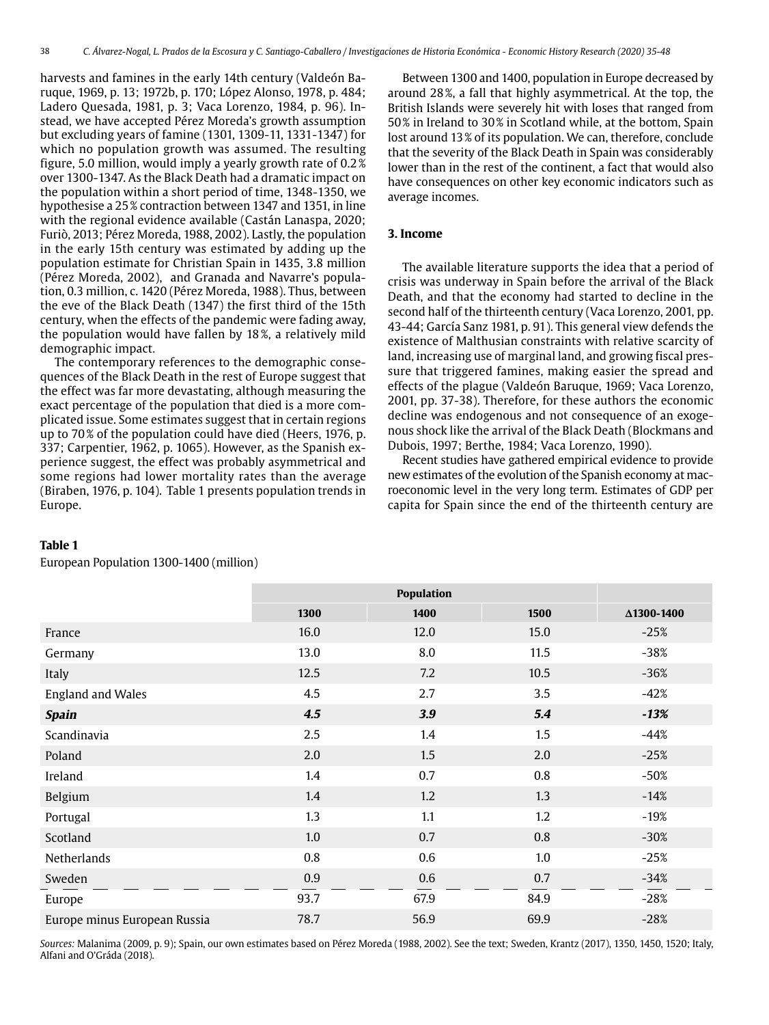harvests and famines in the early 14th century (Valdeón Baruque, 1969, p. 13; 1972b, p. 170; López Alonso, 1978, p. 484; Ladero Quesada, 1981, p. 3; Vaca Lorenzo, 1984, p. 96). Instead, we have accepted Pérez Moreda's growth assumption but excluding years of famine (1301, 1309-11, 1331-1347) for which no population growth was assumed. The resulting figure, 5.0 million, would imply a yearly growth rate of 0.2% over 1300-1347. As the Black Death had a dramatic impact on the population within a short period of time, 1348-1350, we hypothesise a 25% contraction between 1347 and 1351, in line with the regional evidence available (Castán Lanaspa, 2020; Furiò, 2013; Pérez Moreda, 1988, 2002). Lastly, the population in the early 15th century was estimated by adding up the population estimate for Christian Spain in 1435, 3.8 million (Pérez Moreda, 2002), and Granada and Navarre's population, 0.3 million, c. 1420 (Pérez Moreda, 1988). Thus, between the eve of the Black Death (1347) the first third of the 15th century, when the effects of the pandemic were fading away, the population would have fallen by 18%, a relatively mild demographic impact.

The contemporary references to the demographic consequences of the Black Death in the rest of Europe suggest that the effect was far more devastating, although measuring the exact percentage of the population that died is a more complicated issue. Some estimates suggest that in certain regions up to 70% of the population could have died (Heers, 1976, p. 337; Carpentier, 1962, p. 1065). However, as the Spanish experience suggest, the effect was probably asymmetrical and some regions had lower mortality rates than the average (Biraben, 1976, p. 104). Table 1 presents population trends in Europe.

Between 1300 and 1400, population in Europe decreased by around 28%, a fall that highly asymmetrical. At the top, the British Islands were severely hit with loses that ranged from 50% in Ireland to 30% in Scotland while, at the bottom, Spain lost around 13% of its population. We can, therefore, conclude that the severity of the Black Death in Spain was considerably lower than in the rest of the continent, a fact that would also have consequences on other key economic indicators such as average incomes.

### **3. Income**

The available literature supports the idea that a period of crisis was underway in Spain before the arrival of the Black Death, and that the economy had started to decline in the second half of the thirteenth century (Vaca Lorenzo, 2001, pp. 43-44; García Sanz 1981, p. 91). This general view defends the existence of Malthusian constraints with relative scarcity of land, increasing use of marginal land, and growing fiscal pressure that triggered famines, making easier the spread and effects of the plague (Valdeón Baruque, 1969; Vaca Lorenzo, 2001, pp. 37-38). Therefore, for these authors the economic decline was endogenous and not consequence of an exogenous shock like the arrival of the Black Death (Blockmans and Dubois, 1997; Berthe, 1984; Vaca Lorenzo, 1990).

Recent studies have gathered empirical evidence to provide new estimates of the evolution of the Spanish economy at macroeconomic level in the very long term. Estimates of GDP per capita for Spain since the end of the thirteenth century are

#### **Table 1**

European Population 1300-1400 (million)

|                              | 1300 | 1400 | 1500 | Δ1300-1400 |
|------------------------------|------|------|------|------------|
| France                       | 16.0 | 12.0 | 15.0 | $-25%$     |
| Germany                      | 13.0 | 8.0  | 11.5 | $-38%$     |
| Italy                        | 12.5 | 7.2  | 10.5 | $-36%$     |
| <b>England and Wales</b>     | 4.5  | 2.7  | 3.5  | $-42%$     |
| <b>Spain</b>                 | 4.5  | 3.9  | 5.4  | $-13%$     |
| Scandinavia                  | 2.5  | 1.4  | 1.5  | $-44%$     |
| Poland                       | 2.0  | 1.5  | 2.0  | $-25%$     |
| Ireland                      | 1.4  | 0.7  | 0.8  | $-50%$     |
| Belgium                      | 1.4  | 1.2  | 1.3  | $-14%$     |
| Portugal                     | 1.3  | 1.1  | 1.2  | $-19%$     |
| Scotland                     | 1.0  | 0.7  | 0.8  | $-30%$     |
| Netherlands                  | 0.8  | 0.6  | 1.0  | $-25%$     |
| Sweden                       | 0.9  | 0.6  | 0.7  | $-34%$     |
| Europe                       | 93.7 | 67.9 | 84.9 | $-28%$     |
| Europe minus European Russia | 78.7 | 56.9 | 69.9 | $-28%$     |

*Sources:* Malanima (2009, p. 9); Spain, our own estimates based on Pérez Moreda (1988, 2002). See the text; Sweden, Krantz (2017), 1350, 1450, 1520; Italy, Alfani and O'Gráda (2018).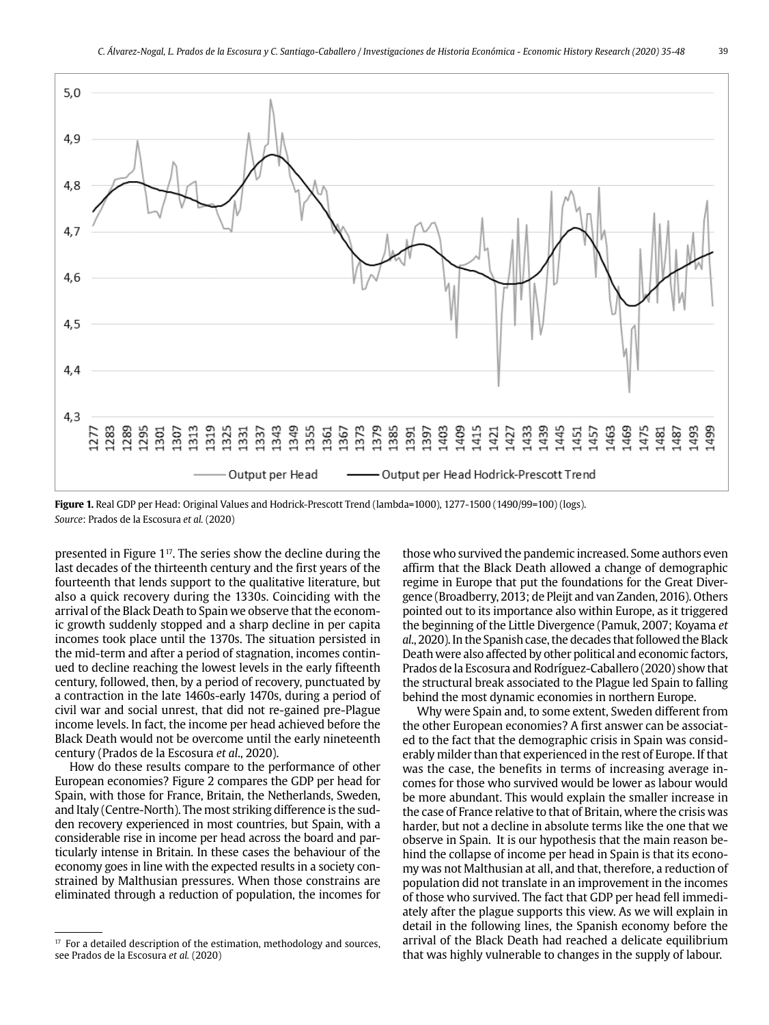

**Figure 1.** Real GDP per Head: Original Values and Hodrick-Prescott Trend (lambda=1000), 1277-1500 (1490/99=100) (logs). *Source*: Prados de la Escosura *et al.* (2020)

presented in Figure 117. The series show the decline during the last decades of the thirteenth century and the first years of the fourteenth that lends support to the qualitative literature, but also a quick recovery during the 1330s. Coinciding with the arrival of the Black Death to Spain we observe that the economic growth suddenly stopped and a sharp decline in per capita incomes took place until the 1370s. The situation persisted in the mid-term and after a period of stagnation, incomes continued to decline reaching the lowest levels in the early fifteenth century, followed, then, by a period of recovery, punctuated by a contraction in the late 1460s-early 1470s, during a period of civil war and social unrest, that did not re-gained pre-Plague income levels. In fact, the income per head achieved before the Black Death would not be overcome until the early nineteenth century (Prados de la Escosura *et al*., 2020).

How do these results compare to the performance of other European economies? Figure 2 compares the GDP per head for Spain, with those for France, Britain, the Netherlands, Sweden, and Italy (Centre-North). The most striking difference is the sudden recovery experienced in most countries, but Spain, with a considerable rise in income per head across the board and particularly intense in Britain. In these cases the behaviour of the economy goes in line with the expected results in a society constrained by Malthusian pressures. When those constrains are eliminated through a reduction of population, the incomes for those who survived the pandemic increased. Some authors even affirm that the Black Death allowed a change of demographic regime in Europe that put the foundations for the Great Divergence (Broadberry, 2013; de Pleijt and van Zanden, 2016). Others pointed out to its importance also within Europe, as it triggered the beginning of the Little Divergence (Pamuk, 2007; Koyama *et al*., 2020). In the Spanish case, the decades that followed the Black Death were also affected by other political and economic factors, Prados de la Escosura and Rodríguez-Caballero (2020) show that the structural break associated to the Plague led Spain to falling behind the most dynamic economies in northern Europe.

Why were Spain and, to some extent, Sweden different from the other European economies? A first answer can be associated to the fact that the demographic crisis in Spain was considerably milder than that experienced in the rest of Europe. If that was the case, the benefits in terms of increasing average incomes for those who survived would be lower as labour would be more abundant. This would explain the smaller increase in the case of France relative to that of Britain, where the crisis was harder, but not a decline in absolute terms like the one that we observe in Spain. It is our hypothesis that the main reason behind the collapse of income per head in Spain is that its economy was not Malthusian at all, and that, therefore, a reduction of population did not translate in an improvement in the incomes of those who survived. The fact that GDP per head fell immediately after the plague supports this view. As we will explain in detail in the following lines, the Spanish economy before the arrival of the Black Death had reached a delicate equilibrium that was highly vulnerable to changes in the supply of labour.

 $17$  For a detailed description of the estimation, methodology and sources, see Prados de la Escosura *et al.* (2020)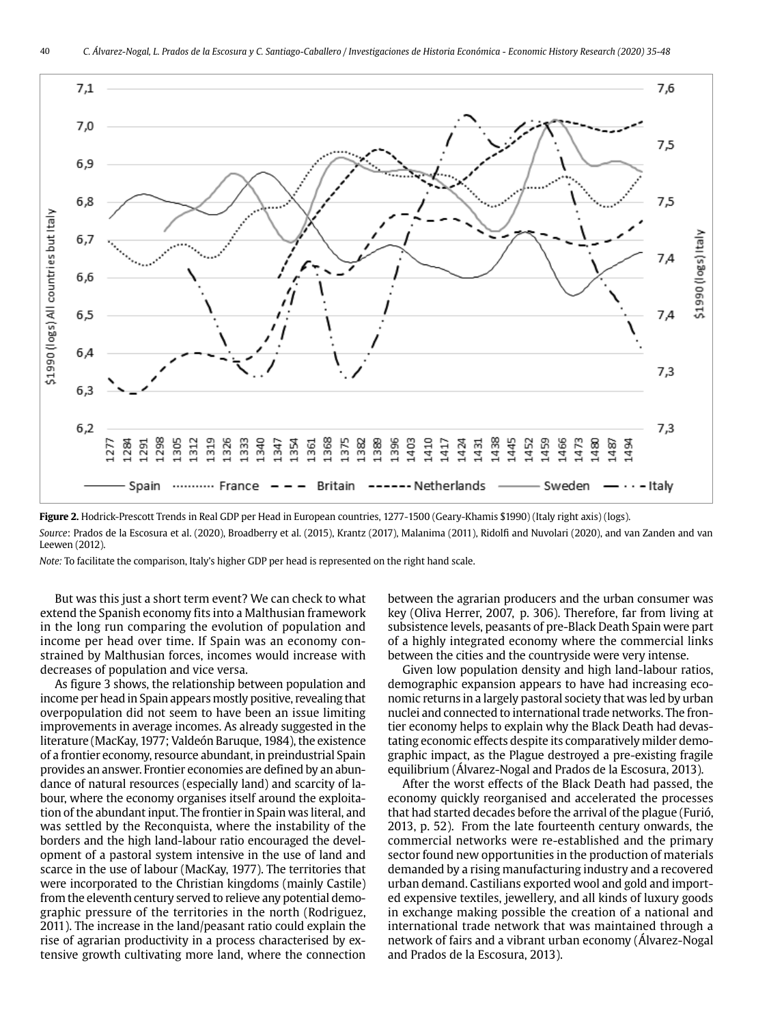

**Figure 2.** Hodrick-Prescott Trends in Real GDP per Head in European countries, 1277-1500 (Geary-Khamis \$1990) (Italy right axis) (logs). *Source*: Prados de la Escosura et al. (2020), Broadberry et al. (2015), Krantz (2017), Malanima (2011), Ridolfi and Nuvolari (2020), and van Zanden and van Leewen (2012).

*Note:* To facilitate the comparison, Italy's higher GDP per head is represented on the right hand scale.

But was this just a short term event? We can check to what extend the Spanish economy fits into a Malthusian framework in the long run comparing the evolution of population and income per head over time. If Spain was an economy constrained by Malthusian forces, incomes would increase with decreases of population and vice versa.

As figure 3 shows, the relationship between population and income per head in Spain appears mostly positive, revealing that overpopulation did not seem to have been an issue limiting improvements in average incomes. As already suggested in the literature (MacKay, 1977; Valdeón Baruque, 1984), the existence of a frontier economy, resource abundant, in preindustrial Spain provides an answer. Frontier economies are defined by an abundance of natural resources (especially land) and scarcity of labour, where the economy organises itself around the exploitation of the abundant input. The frontier in Spain was literal, and was settled by the Reconquista, where the instability of the borders and the high land-labour ratio encouraged the development of a pastoral system intensive in the use of land and scarce in the use of labour (MacKay, 1977). The territories that were incorporated to the Christian kingdoms (mainly Castile) from the eleventh century served to relieve any potential demographic pressure of the territories in the north (Rodriguez, 2011). The increase in the land/peasant ratio could explain the rise of agrarian productivity in a process characterised by extensive growth cultivating more land, where the connection between the agrarian producers and the urban consumer was key (Oliva Herrer, 2007, p. 306). Therefore, far from living at subsistence levels, peasants of pre-Black Death Spain were part of a highly integrated economy where the commercial links between the cities and the countryside were very intense.

Given low population density and high land-labour ratios, demographic expansion appears to have had increasing economic returns in a largely pastoral society that was led by urban nuclei and connected to international trade networks. The frontier economy helps to explain why the Black Death had devastating economic effects despite its comparatively milder demographic impact, as the Plague destroyed a pre-existing fragile equilibrium (Álvarez-Nogal and Prados de la Escosura, 2013).

After the worst effects of the Black Death had passed, the economy quickly reorganised and accelerated the processes that had started decades before the arrival of the plague (Furió, 2013, p. 52). From the late fourteenth century onwards, the commercial networks were re-established and the primary sector found new opportunities in the production of materials demanded by a rising manufacturing industry and a recovered urban demand. Castilians exported wool and gold and imported expensive textiles, jewellery, and all kinds of luxury goods in exchange making possible the creation of a national and international trade network that was maintained through a network of fairs and a vibrant urban economy (Álvarez-Nogal and Prados de la Escosura, 2013).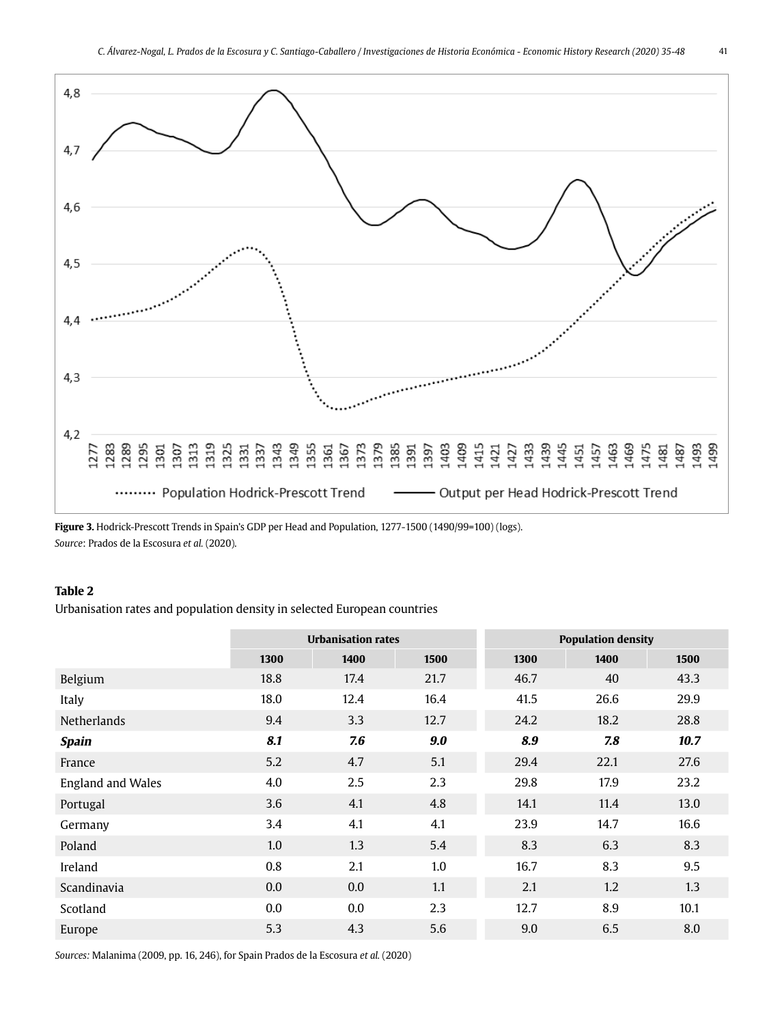41



**Figure 3.** Hodrick-Prescott Trends in Spain's GDP per Head and Population, 1277-1500 (1490/99=100) (logs). *Source*: Prados de la Escosura *et al.* (2020).

#### **Table 2**

Urbanisation rates and population density in selected European countries

|                          | <b>Urbanisation rates</b> |      |      | <b>Population density</b> |      |      |
|--------------------------|---------------------------|------|------|---------------------------|------|------|
|                          | 1300                      | 1400 | 1500 | 1300                      | 1400 | 1500 |
| Belgium                  | 18.8                      | 17.4 | 21.7 | 46.7                      | 40   | 43.3 |
| Italy                    | 18.0                      | 12.4 | 16.4 | 41.5                      | 26.6 | 29.9 |
| <b>Netherlands</b>       | 9.4                       | 3.3  | 12.7 | 24.2                      | 18.2 | 28.8 |
| <b>Spain</b>             | 8.1                       | 7.6  | 9.0  | 8.9                       | 7.8  | 10.7 |
| France                   | 5.2                       | 4.7  | 5.1  | 29.4                      | 22.1 | 27.6 |
| <b>England and Wales</b> | 4.0                       | 2.5  | 2.3  | 29.8                      | 17.9 | 23.2 |
| Portugal                 | 3.6                       | 4.1  | 4.8  | 14.1                      | 11.4 | 13.0 |
| Germany                  | 3.4                       | 4.1  | 4.1  | 23.9                      | 14.7 | 16.6 |
| Poland                   | 1.0                       | 1.3  | 5.4  | 8.3                       | 6.3  | 8.3  |
| Ireland                  | 0.8                       | 2.1  | 1.0  | 16.7                      | 8.3  | 9.5  |
| Scandinavia              | $0.0\,$                   | 0.0  | 1.1  | 2.1                       | 1.2  | 1.3  |
| Scotland                 | $0.0\,$                   | 0.0  | 2.3  | 12.7                      | 8.9  | 10.1 |
| Europe                   | 5.3                       | 4.3  | 5.6  | 9.0                       | 6.5  | 8.0  |

*Sources:* Malanima (2009, pp. 16, 246), for Spain Prados de la Escosura *et al.* (2020)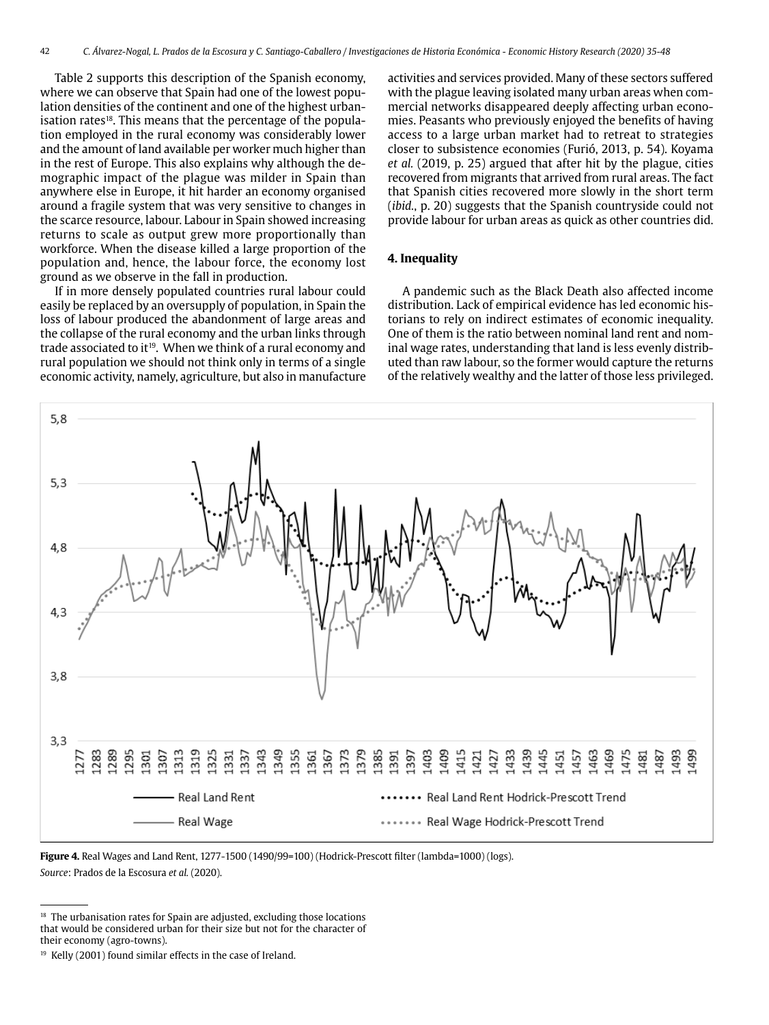Table 2 supports this description of the Spanish economy, where we can observe that Spain had one of the lowest population densities of the continent and one of the highest urbanisation rates<sup>18</sup>. This means that the percentage of the population employed in the rural economy was considerably lower and the amount of land available per worker much higher than in the rest of Europe. This also explains why although the demographic impact of the plague was milder in Spain than anywhere else in Europe, it hit harder an economy organised around a fragile system that was very sensitive to changes in the scarce resource, labour. Labour in Spain showed increasing returns to scale as output grew more proportionally than workforce. When the disease killed a large proportion of the population and, hence, the labour force, the economy lost ground as we observe in the fall in production.

If in more densely populated countries rural labour could easily be replaced by an oversupply of population, in Spain the loss of labour produced the abandonment of large areas and the collapse of the rural economy and the urban links through trade associated to it<sup>19</sup>. When we think of a rural economy and rural population we should not think only in terms of a single economic activity, namely, agriculture, but also in manufacture

activities and services provided. Many of these sectors suffered with the plague leaving isolated many urban areas when commercial networks disappeared deeply affecting urban economies. Peasants who previously enjoyed the benefits of having access to a large urban market had to retreat to strategies closer to subsistence economies (Furió, 2013, p. 54). Koyama *et al.* (2019, p. 25) argued that after hit by the plague, cities recovered from migrants that arrived from rural areas. The fact that Spanish cities recovered more slowly in the short term (*ibid.*, p. 20) suggests that the Spanish countryside could not provide labour for urban areas as quick as other countries did.

#### **4. Inequality**

A pandemic such as the Black Death also affected income distribution. Lack of empirical evidence has led economic historians to rely on indirect estimates of economic inequality. One of them is the ratio between nominal land rent and nominal wage rates, understanding that land is less evenly distributed than raw labour, so the former would capture the returns of the relatively wealthy and the latter of those less privileged.



**Figure 4.** Real Wages and Land Rent, 1277-1500 (1490/99=100) (Hodrick-Prescott filter (lambda=1000) (logs). *Source*: Prados de la Escosura *et al.* (2020).

<sup>&</sup>lt;sup>18</sup> The urbanisation rates for Spain are adjusted, excluding those locations that would be considered urban for their size but not for the character of their economy (agro-towns).

<sup>&</sup>lt;sup>19</sup> Kelly (2001) found similar effects in the case of Ireland.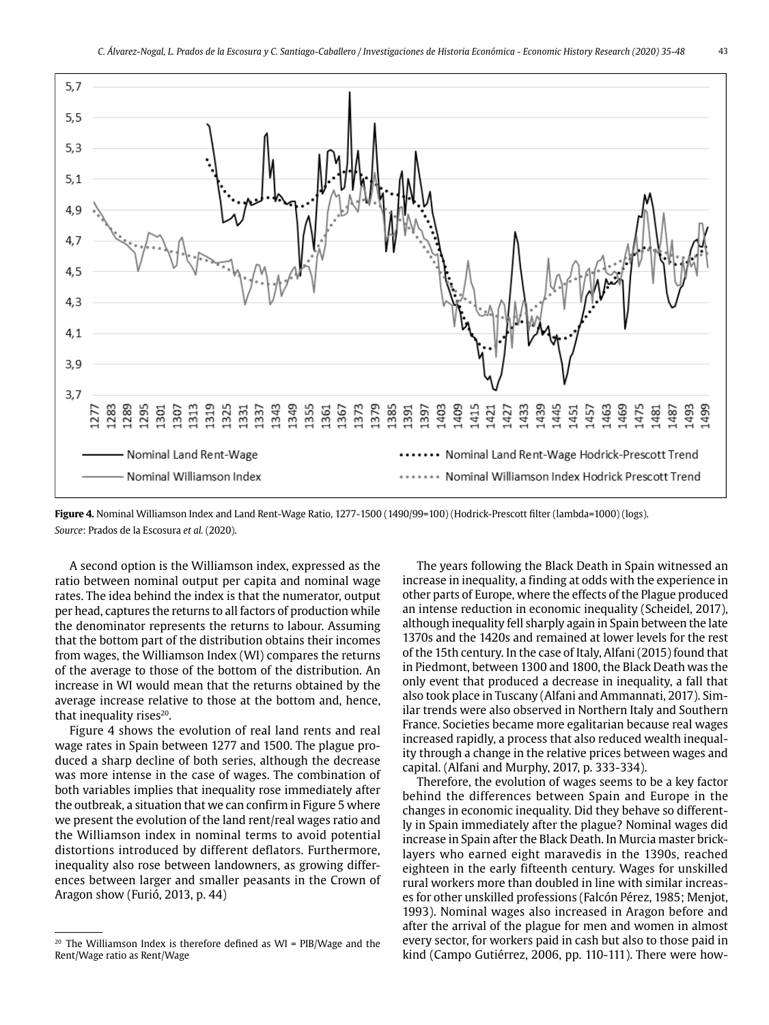

**Figure 4.** Nominal Williamson Index and Land Rent-Wage Ratio, 1277-1500 (1490/99=100) (Hodrick-Prescott filter (lambda=1000) (logs). *Source*: Prados de la Escosura *et al.* (2020).

A second option is the Williamson index, expressed as the ratio between nominal output per capita and nominal wage rates. The idea behind the index is that the numerator, output per head, captures the returns to all factors of production while the denominator represents the returns to labour. Assuming that the bottom part of the distribution obtains their incomes from wages, the Williamson Index (WI) compares the returns of the average to those of the bottom of the distribution. An increase in WI would mean that the returns obtained by the average increase relative to those at the bottom and, hence, that inequality rises $20$ .

Figure 4 shows the evolution of real land rents and real wage rates in Spain between 1277 and 1500. The plague produced a sharp decline of both series, although the decrease was more intense in the case of wages. The combination of both variables implies that inequality rose immediately after the outbreak, a situation that we can confirm in Figure 5 where we present the evolution of the land rent/real wages ratio and the Williamson index in nominal terms to avoid potential distortions introduced by different deflators. Furthermore, inequality also rose between landowners, as growing differences between larger and smaller peasants in the Crown of Aragon show (Furió, 2013, p. 44)

The years following the Black Death in Spain witnessed an increase in inequality, a finding at odds with the experience in other parts of Europe, where the effects of the Plague produced an intense reduction in economic inequality (Scheidel, 2017), although inequality fell sharply again in Spain between the late 1370s and the 1420s and remained at lower levels for the rest of the 15th century. In the case of Italy, Alfani (2015) found that in Piedmont, between 1300 and 1800, the Black Death was the only event that produced a decrease in inequality, a fall that also took place in Tuscany (Alfani and Ammannati, 2017). Similar trends were also observed in Northern Italy and Southern France. Societies became more egalitarian because real wages increased rapidly, a process that also reduced wealth inequality through a change in the relative prices between wages and capital. (Alfani and Murphy, 2017, p. 333-334).

Therefore, the evolution of wages seems to be a key factor behind the differences between Spain and Europe in the changes in economic inequality. Did they behave so differently in Spain immediately after the plague? Nominal wages did increase in Spain after the Black Death. In Murcia master bricklayers who earned eight maravedis in the 1390s, reached eighteen in the early fifteenth century. Wages for unskilled rural workers more than doubled in line with similar increases for other unskilled professions (Falcón Pérez, 1985; Menjot, 1993). Nominal wages also increased in Aragon before and after the arrival of the plague for men and women in almost every sector, for workers paid in cash but also to those paid in kind (Campo Gutiérrez, 2006, pp. 110-111). There were how-

<sup>&</sup>lt;sup>20</sup> The Williamson Index is therefore defined as  $WI = PIB/Wage$  and the Rent/Wage ratio as Rent/Wage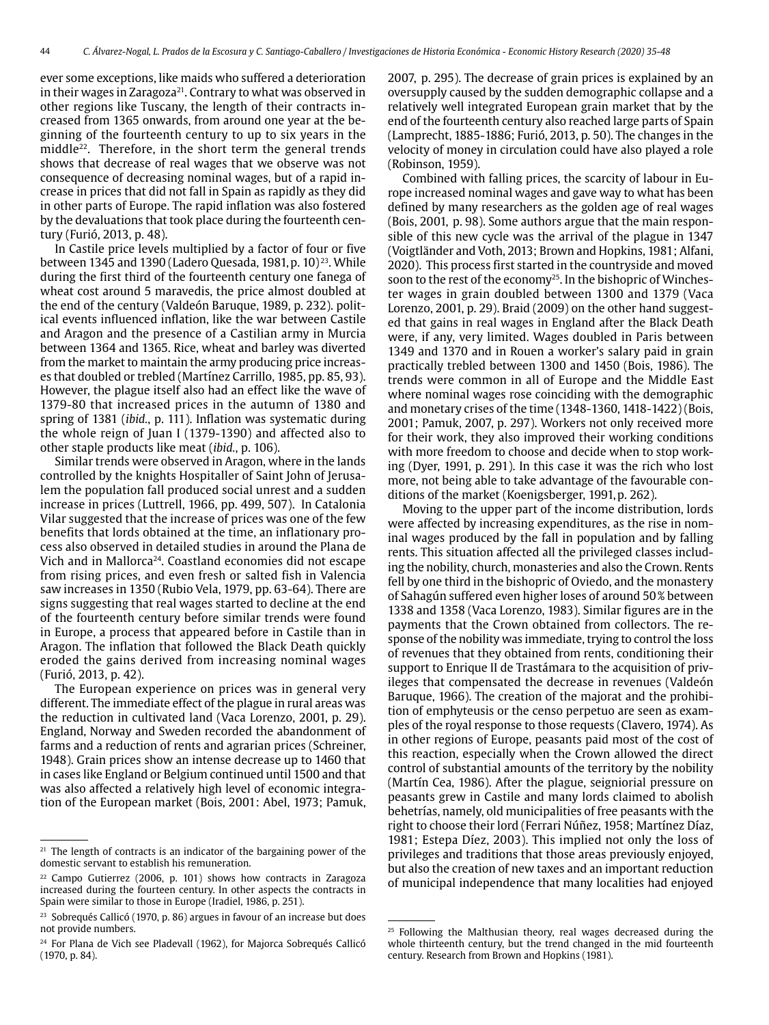ever some exceptions, like maids who suffered a deterioration in their wages in Zaragoza<sup>21</sup>. Contrary to what was observed in other regions like Tuscany, the length of their contracts increased from 1365 onwards, from around one year at the beginning of the fourteenth century to up to six years in the middle<sup>22</sup>. Therefore, in the short term the general trends shows that decrease of real wages that we observe was not consequence of decreasing nominal wages, but of a rapid increase in prices that did not fall in Spain as rapidly as they did in other parts of Europe. The rapid inflation was also fostered by the devaluations that took place during the fourteenth century (Furió, 2013, p. 48).

In Castile price levels multiplied by a factor of four or five between 1345 and 1390 (Ladero Quesada, 1981, p. 10)<sup>23</sup>. While during the first third of the fourteenth century one fanega of wheat cost around 5 maravedis, the price almost doubled at the end of the century (Valdeón Baruque, 1989, p. 232). political events influenced inflation, like the war between Castile and Aragon and the presence of a Castilian army in Murcia between 1364 and 1365. Rice, wheat and barley was diverted from the market to maintain the army producing price increases that doubled or trebled (Martínez Carrillo, 1985, pp. 85, 93). However, the plague itself also had an effect like the wave of 1379-80 that increased prices in the autumn of 1380 and spring of 1381 (*ibid.*, p. 111). Inflation was systematic during the whole reign of Juan I (1379-1390) and affected also to other staple products like meat (*ibid.*, p. 106).

Similar trends were observed in Aragon, where in the lands controlled by the knights Hospitaller of Saint John of Jerusalem the population fall produced social unrest and a sudden increase in prices (Luttrell, 1966, pp. 499, 507). In Catalonia Vilar suggested that the increase of prices was one of the few benefits that lords obtained at the time, an inflationary process also observed in detailed studies in around the Plana de Vich and in Mallorca<sup>24</sup>. Coastland economies did not escape from rising prices, and even fresh or salted fish in Valencia saw increases in 1350 (Rubio Vela, 1979, pp. 63-64). There are signs suggesting that real wages started to decline at the end of the fourteenth century before similar trends were found in Europe, a process that appeared before in Castile than in Aragon. The inflation that followed the Black Death quickly eroded the gains derived from increasing nominal wages (Furió, 2013, p. 42).

The European experience on prices was in general very different. The immediate effect of the plague in rural areas was the reduction in cultivated land (Vaca Lorenzo, 2001, p. 29). England, Norway and Sweden recorded the abandonment of farms and a reduction of rents and agrarian prices (Schreiner, 1948). Grain prices show an intense decrease up to 1460 that in cases like England or Belgium continued until 1500 and that was also affected a relatively high level of economic integration of the European market (Bois, 2001: Abel, 1973; Pamuk,

2007, p. 295). The decrease of grain prices is explained by an oversupply caused by the sudden demographic collapse and a relatively well integrated European grain market that by the end of the fourteenth century also reached large parts of Spain (Lamprecht, 1885-1886; Furió, 2013, p. 50). The changes in the velocity of money in circulation could have also played a role (Robinson, 1959).

Combined with falling prices, the scarcity of labour in Europe increased nominal wages and gave way to what has been defined by many researchers as the golden age of real wages (Bois, 2001, p. 98). Some authors argue that the main responsible of this new cycle was the arrival of the plague in 1347 (Voigtländer and Voth, 2013; Brown and Hopkins, 1981; Alfani, 2020). This process first started in the countryside and moved soon to the rest of the economy<sup>25</sup>. In the bishopric of Winchester wages in grain doubled between 1300 and 1379 (Vaca Lorenzo, 2001, p. 29). Braid (2009) on the other hand suggested that gains in real wages in England after the Black Death were, if any, very limited. Wages doubled in Paris between 1349 and 1370 and in Rouen a worker's salary paid in grain practically trebled between 1300 and 1450 (Bois, 1986). The trends were common in all of Europe and the Middle East where nominal wages rose coinciding with the demographic and monetary crises of the time (1348-1360, 1418-1422) (Bois, 2001; Pamuk, 2007, p. 297). Workers not only received more for their work, they also improved their working conditions with more freedom to choose and decide when to stop working (Dyer, 1991, p. 291). In this case it was the rich who lost more, not being able to take advantage of the favourable conditions of the market (Koenigsberger, 1991,p. 262).

Moving to the upper part of the income distribution, lords were affected by increasing expenditures, as the rise in nominal wages produced by the fall in population and by falling rents. This situation affected all the privileged classes including the nobility, church, monasteries and also the Crown. Rents fell by one third in the bishopric of Oviedo, and the monastery of Sahagún suffered even higher loses of around 50% between 1338 and 1358 (Vaca Lorenzo, 1983). Similar figures are in the payments that the Crown obtained from collectors. The response of the nobility was immediate, trying to control the loss of revenues that they obtained from rents, conditioning their support to Enrique II de Trastámara to the acquisition of privileges that compensated the decrease in revenues (Valdeón Baruque, 1966). The creation of the majorat and the prohibition of emphyteusis or the censo perpetuo are seen as examples of the royal response to those requests (Clavero, 1974). As in other regions of Europe, peasants paid most of the cost of this reaction, especially when the Crown allowed the direct control of substantial amounts of the territory by the nobility (Martín Cea, 1986). After the plague, seigniorial pressure on peasants grew in Castile and many lords claimed to abolish behetrías, namely, old municipalities of free peasants with the right to choose their lord (Ferrari Núñez, 1958; Martínez Díaz, 1981; Estepa Díez, 2003). This implied not only the loss of privileges and traditions that those areas previously enjoyed, but also the creation of new taxes and an important reduction of municipal independence that many localities had enjoyed

<sup>&</sup>lt;sup>21</sup> The length of contracts is an indicator of the bargaining power of the domestic servant to establish his remuneration.

 $22$  Campo Gutierrez (2006, p. 101) shows how contracts in Zaragoza increased during the fourteen century. In other aspects the contracts in Spain were similar to those in Europe (Iradiel, 1986, p. 251).

<sup>&</sup>lt;sup>23</sup> Sobrequés Callicó (1970, p. 86) argues in favour of an increase but does not provide numbers.

<sup>&</sup>lt;sup>24</sup> For Plana de Vich see Pladevall (1962), for Majorca Sobrequés Callicó (1970, p. 84).

<sup>&</sup>lt;sup>25</sup> Following the Malthusian theory, real wages decreased during the whole thirteenth century, but the trend changed in the mid fourteenth century. Research from Brown and Hopkins (1981).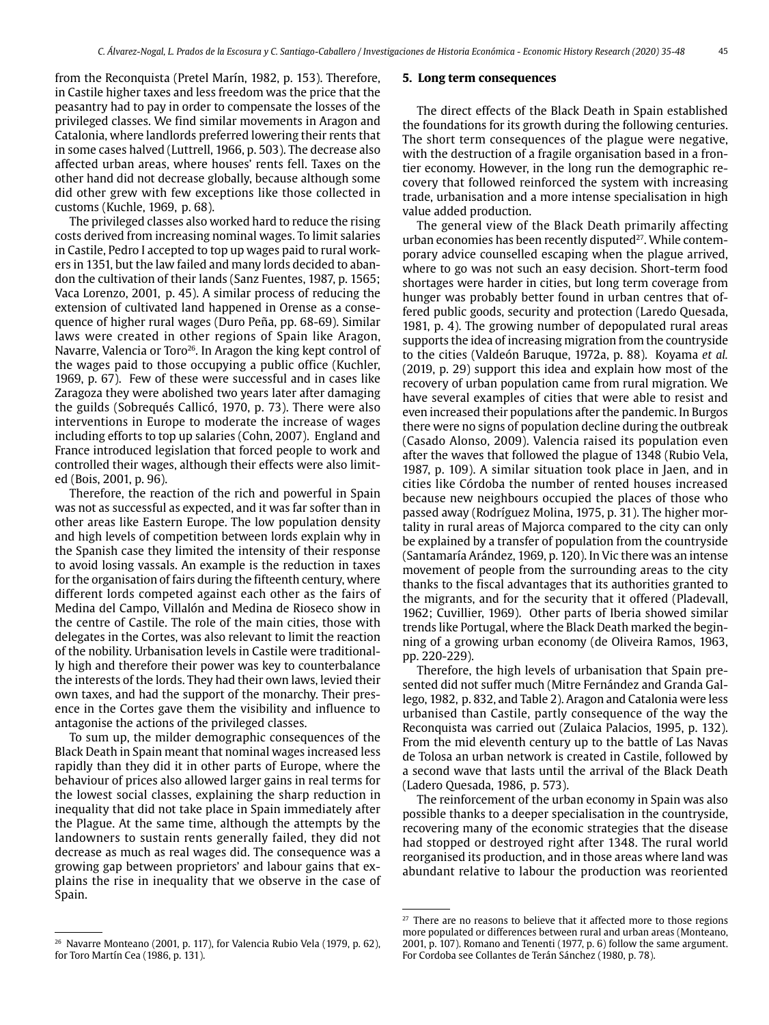from the Reconquista (Pretel Marín, 1982, p. 153). Therefore, in Castile higher taxes and less freedom was the price that the peasantry had to pay in order to compensate the losses of the privileged classes. We find similar movements in Aragon and Catalonia, where landlords preferred lowering their rents that in some cases halved (Luttrell, 1966, p. 503). The decrease also affected urban areas, where houses' rents fell. Taxes on the other hand did not decrease globally, because although some did other grew with few exceptions like those collected in customs (Kuchle, 1969, p. 68).

The privileged classes also worked hard to reduce the rising costs derived from increasing nominal wages. To limit salaries in Castile, Pedro I accepted to top up wages paid to rural workers in 1351, but the law failed and many lords decided to abandon the cultivation of their lands (Sanz Fuentes, 1987, p. 1565; Vaca Lorenzo, 2001, p. 45). A similar process of reducing the extension of cultivated land happened in Orense as a consequence of higher rural wages (Duro Peña, pp. 68-69). Similar laws were created in other regions of Spain like Aragon, Navarre, Valencia or Toro<sup>26</sup>. In Aragon the king kept control of the wages paid to those occupying a public office (Kuchler, 1969, p. 67). Few of these were successful and in cases like Zaragoza they were abolished two years later after damaging the guilds (Sobrequés Callicó, 1970, p. 73). There were also interventions in Europe to moderate the increase of wages including efforts to top up salaries (Cohn, 2007). England and France introduced legislation that forced people to work and controlled their wages, although their effects were also limited (Bois, 2001, p. 96).

Therefore, the reaction of the rich and powerful in Spain was not as successful as expected, and it was far softer than in other areas like Eastern Europe. The low population density and high levels of competition between lords explain why in the Spanish case they limited the intensity of their response to avoid losing vassals. An example is the reduction in taxes for the organisation of fairs during the fifteenth century, where different lords competed against each other as the fairs of Medina del Campo, Villalón and Medina de Rioseco show in the centre of Castile. The role of the main cities, those with delegates in the Cortes, was also relevant to limit the reaction of the nobility. Urbanisation levels in Castile were traditionally high and therefore their power was key to counterbalance the interests of the lords. They had their own laws, levied their own taxes, and had the support of the monarchy. Their presence in the Cortes gave them the visibility and influence to antagonise the actions of the privileged classes.

To sum up, the milder demographic consequences of the Black Death in Spain meant that nominal wages increased less rapidly than they did it in other parts of Europe, where the behaviour of prices also allowed larger gains in real terms for the lowest social classes, explaining the sharp reduction in inequality that did not take place in Spain immediately after the Plague. At the same time, although the attempts by the landowners to sustain rents generally failed, they did not decrease as much as real wages did. The consequence was a growing gap between proprietors' and labour gains that explains the rise in inequality that we observe in the case of Spain.

#### **5. Long term consequences**

The direct effects of the Black Death in Spain established the foundations for its growth during the following centuries. The short term consequences of the plague were negative, with the destruction of a fragile organisation based in a frontier economy. However, in the long run the demographic recovery that followed reinforced the system with increasing trade, urbanisation and a more intense specialisation in high value added production.

The general view of the Black Death primarily affecting urban economies has been recently disputed<sup>27</sup>. While contemporary advice counselled escaping when the plague arrived, where to go was not such an easy decision. Short-term food shortages were harder in cities, but long term coverage from hunger was probably better found in urban centres that offered public goods, security and protection (Laredo Quesada, 1981, p. 4). The growing number of depopulated rural areas supports the idea of increasing migration from the countryside to the cities (Valdeón Baruque, 1972a, p. 88). Koyama *et al.* (2019, p. 29) support this idea and explain how most of the recovery of urban population came from rural migration. We have several examples of cities that were able to resist and even increased their populations after the pandemic. In Burgos there were no signs of population decline during the outbreak (Casado Alonso, 2009). Valencia raised its population even after the waves that followed the plague of 1348 (Rubio Vela, 1987, p. 109). A similar situation took place in Jaen, and in cities like Córdoba the number of rented houses increased because new neighbours occupied the places of those who passed away (Rodríguez Molina, 1975, p. 31). The higher mortality in rural areas of Majorca compared to the city can only be explained by a transfer of population from the countryside (Santamaría Arández, 1969, p. 120). In Vic there was an intense movement of people from the surrounding areas to the city thanks to the fiscal advantages that its authorities granted to the migrants, and for the security that it offered (Pladevall, 1962; Cuvillier, 1969). Other parts of Iberia showed similar trends like Portugal, where the Black Death marked the beginning of a growing urban economy (de Oliveira Ramos, 1963, pp. 220-229).

Therefore, the high levels of urbanisation that Spain presented did not suffer much (Mitre Fernández and Granda Gallego, 1982, p. 832, and Table 2). Aragon and Catalonia were less urbanised than Castile, partly consequence of the way the Reconquista was carried out (Zulaica Palacios, 1995, p. 132). From the mid eleventh century up to the battle of Las Navas de Tolosa an urban network is created in Castile, followed by a second wave that lasts until the arrival of the Black Death (Ladero Quesada, 1986, p. 573).

The reinforcement of the urban economy in Spain was also possible thanks to a deeper specialisation in the countryside, recovering many of the economic strategies that the disease had stopped or destroyed right after 1348. The rural world reorganised its production, and in those areas where land was abundant relative to labour the production was reoriented

<sup>26</sup> Navarre Monteano (2001, p. 117), for Valencia Rubio Vela (1979, p. 62), for Toro Martín Cea (1986, p. 131).

 $27$  There are no reasons to believe that it affected more to those regions more populated or differences between rural and urban areas (Monteano, 2001, p. 107). Romano and Tenenti (1977, p. 6) follow the same argument. For Cordoba see Collantes de Terán Sánchez (1980, p. 78).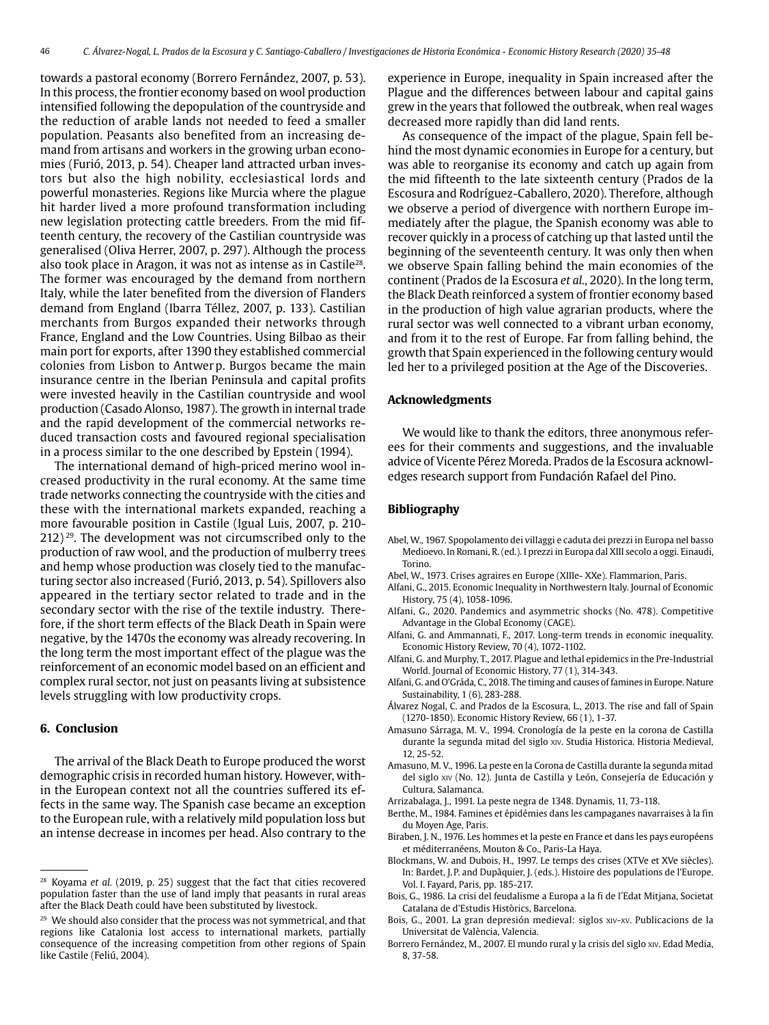towards a pastoral economy (Borrero Fernández, 2007, p. 53). In this process, the frontier economy based on wool production intensified following the depopulation of the countryside and the reduction of arable lands not needed to feed a smaller population. Peasants also benefited from an increasing demand from artisans and workers in the growing urban economies (Furió, 2013, p. 54). Cheaper land attracted urban investors but also the high nobility, ecclesiastical lords and powerful monasteries. Regions like Murcia where the plague hit harder lived a more profound transformation including new legislation protecting cattle breeders. From the mid fifteenth century, the recovery of the Castilian countryside was generalised (Oliva Herrer, 2007, p. 297). Although the process also took place in Aragon, it was not as intense as in Castile28. The former was encouraged by the demand from northern Italy, while the later benefited from the diversion of Flanders demand from England (Ibarra Téllez, 2007, p. 133). Castilian merchants from Burgos expanded their networks through France, England and the Low Countries. Using Bilbao as their main port for exports, after 1390 they established commercial colonies from Lisbon to Antwerp. Burgos became the main insurance centre in the Iberian Peninsula and capital profits were invested heavily in the Castilian countryside and wool production (Casado Alonso, 1987). The growth in internal trade and the rapid development of the commercial networks reduced transaction costs and favoured regional specialisation in a process similar to the one described by Epstein (1994).

The international demand of high-priced merino wool increased productivity in the rural economy. At the same time trade networks connecting the countryside with the cities and these with the international markets expanded, reaching a more favourable position in Castile (Igual Luis, 2007, p. 210-  $212)$ <sup>29</sup>. The development was not circumscribed only to the production of raw wool, and the production of mulberry trees and hemp whose production was closely tied to the manufacturing sector also increased (Furió, 2013, p. 54). Spillovers also appeared in the tertiary sector related to trade and in the secondary sector with the rise of the textile industry. Therefore, if the short term effects of the Black Death in Spain were negative, by the 1470s the economy was already recovering. In the long term the most important effect of the plague was the reinforcement of an economic model based on an efficient and complex rural sector, not just on peasants living at subsistence levels struggling with low productivity crops.

#### **6. Conclusion**

The arrival of the Black Death to Europe produced the worst demographic crisis in recorded human history. However, within the European context not all the countries suffered its effects in the same way. The Spanish case became an exception to the European rule, with a relatively mild population loss but an intense decrease in incomes per head. Also contrary to the

experience in Europe, inequality in Spain increased after the Plague and the differences between labour and capital gains grew in the years that followed the outbreak, when real wages decreased more rapidly than did land rents.

As consequence of the impact of the plague, Spain fell behind the most dynamic economies in Europe for a century, but was able to reorganise its economy and catch up again from the mid fifteenth to the late sixteenth century (Prados de la Escosura and Rodríguez-Caballero, 2020). Therefore, although we observe a period of divergence with northern Europe immediately after the plague, the Spanish economy was able to recover quickly in a process of catching up that lasted until the beginning of the seventeenth century. It was only then when we observe Spain falling behind the main economies of the continent (Prados de la Escosura *et al.*, 2020). In the long term, the Black Death reinforced a system of frontier economy based in the production of high value agrarian products, where the rural sector was well connected to a vibrant urban economy, and from it to the rest of Europe. Far from falling behind, the growth that Spain experienced in the following century would led her to a privileged position at the Age of the Discoveries.

#### **Acknowledgments**

We would like to thank the editors, three anonymous referees for their comments and suggestions, and the invaluable advice of Vicente Pérez Moreda. Prados de la Escosura acknowledges research support from Fundación Rafael del Pino.

#### **Bibliography**

- Abel, W., 1967. Spopolamento dei villaggi e caduta dei prezzi in Europa nel basso Medioevo. In Romani, R. (ed.). I prezzi in Europa dal XIII secolo a oggi. Einaudi, Torino.
- Abel, W., 1973. Crises agraires en Europe (XIIIe- XXe). Flammarion, Paris.
- Alfani, G., 2015. Economic Inequality in Northwestern Italy. Journal of Economic History, 75 (4), 1058-1096.
- Alfani, G., 2020. Pandemics and asymmetric shocks (No. 478). Competitive Advantage in the Global Economy (CAGE).
- Alfani, G. and Ammannati, F., 2017. Long-term trends in economic inequality. Economic History Review, 70 (4), 1072-1102.
- Alfani, G. and Murphy, T., 2017. Plague and lethal epidemics in the Pre-Industrial World. Journal of Economic History, 77 (1), 314-343.
- Alfani, G. and O'Gráda, C., 2018. The timing and causes of famines in Europe. Nature Sustainability, 1 (6), 283-288.
- Álvarez Nogal, C. and Prados de la Escosura, L., 2013. The rise and fall of Spain (1270-1850). Economic History Review, 66 (1), 1-37.
- Amasuno Sárraga, M. V., 1994. Cronología de la peste en la corona de Castilla durante la segunda mitad del siglo xiv. Studia Historica. Historia Medieval, 12, 25-52.
- Amasuno, M. V., 1996. La peste en la Corona de Castilla durante la segunda mitad del siglo xiv (No. 12). Junta de Castilla y León, Consejería de Educación y Cultura, Salamanca.
- Arrizabalaga, J., 1991. La peste negra de 1348. Dynamis, 11, 73-118.
- Berthe, M., 1984. Famines et épidémies dans les campaganes navarraises à la fin du Moyen Age, Paris.
- Biraben, J. N., 1976. Les hommes et la peste en France et dans les pays européens et méditerranéens, Mouton & Co., Paris-La Haya.
- Blockmans, W. and Dubois, H., 1997. Le temps des crises (XTVe et XVe siècles). In: Bardet, J.P. and Dupâquier, J. (eds.). Histoire des populations de l'Europe. Vol. I. Fayard, Paris, pp. 185-217.
- Bois, G., 1986. La crisi del feudalisme a Europa a la fi de l´Edat Mitjana, Societat Catalana de d'Estudis Històrics, Barcelona.
- Bois, G., 2001. La gran depresión medieval: siglos xiv-xv. Publicacions de la Universitat de València, Valencia.
- Borrero Fernández, M., 2007. El mundo rural y la crisis del siglo xiv. Edad Media, 8, 37-58.

<sup>28</sup> Koyama *et al.* (2019, p. 25) suggest that the fact that cities recovered population faster than the use of land imply that peasants in rural areas after the Black Death could have been substituted by livestock.

<sup>&</sup>lt;sup>29</sup> We should also consider that the process was not symmetrical, and that regions like Catalonia lost access to international markets, partially consequence of the increasing competition from other regions of Spain like Castile (Feliú, 2004).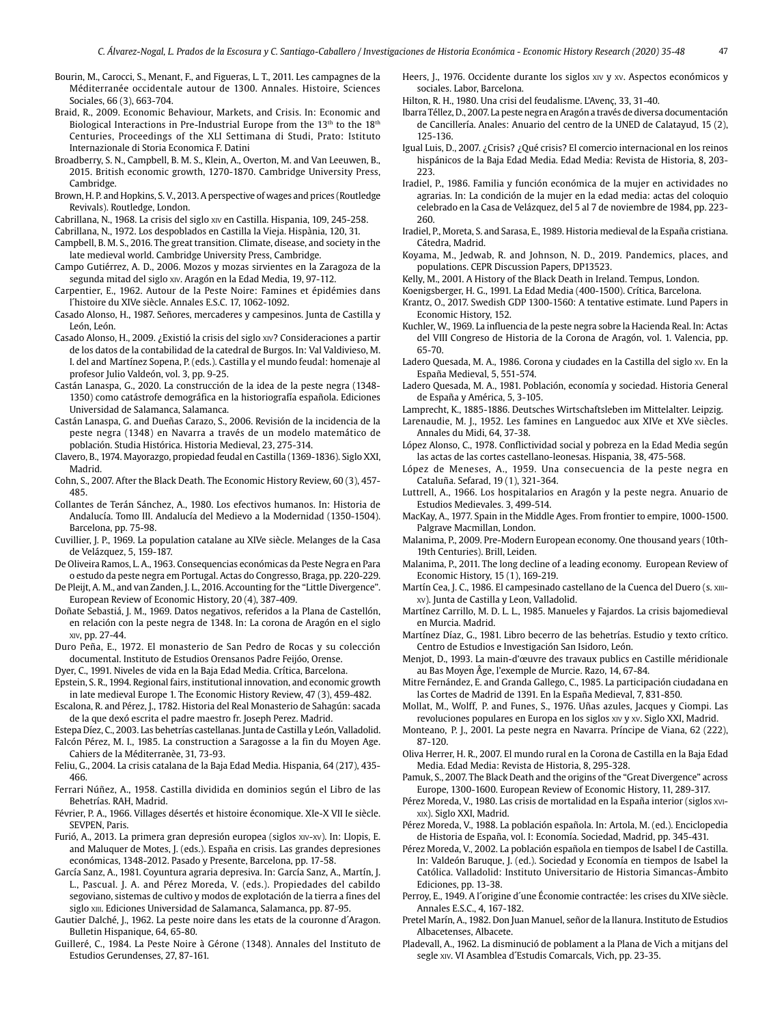Bourin, M., Carocci, S., Menant, F., and Figueras, L. T., 2011. Les campagnes de la Méditerranée occidentale autour de 1300. Annales. Histoire, Sciences Sociales, 66 (3), 663-704.

- Braid, R., 2009. Economic Behaviour, Markets, and Crisis. In: Economic and Biological Interactions in Pre-Industrial Europe from the  $13<sup>th</sup>$  to the  $18<sup>th</sup>$ Centuries, Proceedings of the XLI Settimana di Studi, Prato: Istituto Internazionale di Storia Economica F. Datini
- Broadberry, S. N., Campbell, B. M. S., Klein, A., Overton, M. and Van Leeuwen, B., 2015. British economic growth, 1270-1870. Cambridge University Press, Cambridge.
- Brown, H. P. and Hopkins, S. V., 2013. A perspective of wages and prices (Routledge Revivals). Routledge, London.
- Cabrillana, N., 1968. La crisis del siglo xiv en Castilla. Hispania, 109, 245-258.
- Cabrillana, N., 1972. Los despoblados en Castilla la Vieja. Hispània, 120, 31.
- Campbell, B. M. S., 2016. The great transition. Climate, disease, and society in the late medieval world. Cambridge University Press, Cambridge.
- Campo Gutiérrez, A. D., 2006. Mozos y mozas sirvientes en la Zaragoza de la segunda mitad del siglo xiv. Aragón en la Edad Media, 19, 97-112.
- Carpentier, E., 1962. Autour de la Peste Noire: Famines et épidémies dans l´histoire du XIVe siècle. Annales E.S.C. 17, 1062-1092.
- Casado Alonso, H., 1987. Señores, mercaderes y campesinos. Junta de Castilla y León, León.
- Casado Alonso, H., 2009. ¿Existió la crisis del siglo xiv? Consideraciones a partir de los datos de la contabilidad de la catedral de Burgos. In: Val Valdivieso, M. I. del and Martínez Sopena, P. (eds.). Castilla y el mundo feudal: homenaje al profesor Julio Valdeón, vol. 3, pp. 9-25.
- Castán Lanaspa, G., 2020. La construcción de la idea de la peste negra (1348- 1350) como catástrofe demográfica en la historiografía española. Ediciones Universidad de Salamanca, Salamanca.
- Castán Lanaspa, G. and Dueñas Carazo, S., 2006. Revisión de la incidencia de la peste negra (1348) en Navarra a través de un modelo matemático de población. Studia Histórica. Historia Medieval, 23, 275-314.
- Clavero, B., 1974. Mayorazgo, propiedad feudal en Castilla (1369-1836). Siglo XXI, Madrid.
- Cohn, S., 2007. After the Black Death. The Economic History Review, 60 (3), 457- 485.
- Collantes de Terán Sánchez, A., 1980. Los efectivos humanos. In: Historia de Andalucía. Tomo III. Andalucía del Medievo a la Modernidad (1350-1504). Barcelona, pp. 75-98.
- Cuvillier, J. P., 1969. La population catalane au XIVe siècle. Melanges de la Casa de Velázquez, 5, 159-187.
- De Oliveira Ramos, L. A., 1963. Consequencias económicas da Peste Negra en Para o estudo da peste negra em Portugal. Actas do Congresso, Braga, pp. 220-229.
- De Pleijt, A. M., and van Zanden, J. L., 2016. Accounting for the "Little Divergence". European Review of Economic History, 20 (4), 387-409.
- Doñate Sebastiá, J. M., 1969. Datos negativos, referidos a la Plana de Castellón, en relación con la peste negra de 1348. In: La corona de Aragón en el siglo xiv, pp. 27-44.
- Duro Peña, E., 1972. El monasterio de San Pedro de Rocas y su colección documental. Instituto de Estudios Orensanos Padre Feijóo, Orense.
- Dyer, C., 1991. Niveles de vida en la Baja Edad Media. Crítica, Barcelona.
- Epstein, S. R., 1994. Regional fairs, institutional innovation, and economic growth in late medieval Europe 1. The Economic History Review, 47 (3), 459-482.
- Escalona, R. and Pérez, J., 1782. Historia del Real Monasterio de Sahagún: sacada de la que dexó escrita el padre maestro fr. Joseph Perez. Madrid.
- Estepa Díez, C., 2003. Las behetrías castellanas. Junta de Castilla y León, Valladolid.
- Falcón Pérez, M. I., 1985. La construction a Saragosse a la fin du Moyen Age. Cahiers de la Méditerranèe, 31, 73-93.
- Feliu, G., 2004. La crisis catalana de la Baja Edad Media. Hispania, 64 (217), 435- 466.
- Ferrari Núñez, A., 1958. Castilla dividida en dominios según el Libro de las Behetrías. RAH, Madrid.
- Février, P. A., 1966. Villages désertés et histoire économique. XIe-X VII Ie siècle. SEVPEN, Paris.
- Furió, A., 2013. La primera gran depresión europea (siglos xiv-xv). In: Llopis, E. and Maluquer de Motes, J. (eds.). España en crisis. Las grandes depresiones económicas, 1348-2012. Pasado y Presente, Barcelona, pp. 17-58.
- García Sanz, A., 1981. Coyuntura agraria depresiva. In: García Sanz, A., Martín, J. L., Pascual. J. A. and Pérez Moreda, V. (eds.). Propiedades del cabildo segoviano, sistemas de cultivo y modos de explotación de la tierra a fines del siglo xIII. Ediciones Universidad de Salamanca, Salamanca, pp. 87-95.
- Gautier Dalché, J., 1962. La peste noire dans les etats de la couronne d´Aragon. Bulletin Hispanique, 64, 65-80.
- Guilleré, C., 1984. La Peste Noire à Gérone (1348). Annales del Instituto de Estudios Gerundenses, 27, 87-161.

Heers, J., 1976. Occidente durante los siglos xiv y xv. Aspectos económicos y sociales. Labor, Barcelona.

47

- Hilton, R. H., 1980. Una crisi del feudalisme. L'Avenç, 33, 31-40.
- Ibarra Téllez, D., 2007. La peste negra en Aragón a través de diversa documentación de Cancillería. Anales: Anuario del centro de la UNED de Calatayud, 15 (2), 125-136.
- Igual Luis, D., 2007. ¿Crisis? ¿Qué crisis? El comercio internacional en los reinos hispánicos de la Baja Edad Media. Edad Media: Revista de Historia, 8, 203- 223.
- Iradiel, P., 1986. Familia y función económica de la mujer en actividades no agrarias. In: La condición de la mujer en la edad media: actas del coloquio celebrado en la Casa de Velázquez, del 5 al 7 de noviembre de 1984, pp. 223- 260.
- Iradiel, P., Moreta, S. and Sarasa, E., 1989. Historia medieval de la España cristiana. Cátedra, Madrid.
- Koyama, M., Jedwab, R. and Johnson, N. D., 2019. Pandemics, places, and populations. CEPR Discussion Papers, DP13523.
- Kelly, M., 2001. A History of the Black Death in Ireland. Tempus, London.
- Koenigsberger, H. G., 1991. La Edad Media (400-1500). Crítica, Barcelona.
- Krantz, O., 2017. Swedish GDP 1300-1560: A tentative estimate. Lund Papers in Economic History, 152.
- Kuchler, W., 1969. La influencia de la peste negra sobre la Hacienda Real. In: Actas del VIII Congreso de Historia de la Corona de Aragón, vol. 1. Valencia, pp. 65-70.
- Ladero Quesada, M. A., 1986. Corona y ciudades en la Castilla del siglo xv. En la España Medieval, 5, 551-574.
- Ladero Quesada, M. A., 1981. Población, economía y sociedad. Historia General de España y América, 5, 3-105.
- Lamprecht, K., 1885-1886. Deutsches Wirtschaftsleben im Mittelalter. Leipzig.
- Larenaudie, M. J., 1952. Les famines en Languedoc aux XIVe et XVe siècles. Annales du Midi, 64, 37-38.
- López Alonso, C., 1978. Conflictividad social y pobreza en la Edad Media según las actas de las cortes castellano-leonesas. Hispania, 38, 475-568.
- López de Meneses, A., 1959. Una consecuencia de la peste negra en Cataluña. Sefarad, 19 (1), 321-364.
- Luttrell, A., 1966. Los hospitalarios en Aragón y la peste negra. Anuario de Estudios Medievales. 3, 499-514.
- MacKay, A., 1977. Spain in the Middle Ages. From frontier to empire, 1000-1500. Palgrave Macmillan, London.
- Malanima, P., 2009. Pre-Modern European economy. One thousand years (10th-19th Centuries). Brill, Leiden.
- Malanima, P., 2011. The long decline of a leading economy. European Review of Economic History, 15 (1), 169-219.
- Martín Cea, J. C., 1986. El campesinado castellano de la Cuenca del Duero (s. xiiixv). Junta de Castilla y Leon, Valladolid.
- Martínez Carrillo, M. D. L. L., 1985. Manueles y Fajardos. La crisis bajomedieval en Murcia. Madrid.
- Martínez Díaz, G., 1981. Libro becerro de las behetrías. Estudio y texto crítico. Centro de Estudios e Investigación San Isidoro, León.
- Menjot, D., 1993. La main-d'œuvre des travaux publics en Castille méridionale au Bas Moyen Âge, l'exemple de Murcie. Razo, 14, 67-84.
- Mitre Fernández, E. and Granda Gallego, C., 1985. La participación ciudadana en las Cortes de Madrid de 1391. En la España Medieval, 7, 831-850.
- Mollat, M., Wolff, P. and Funes, S., 1976. Uñas azules, Jacques y Ciompi. Las revoluciones populares en Europa en los siglos xiv y xv. Siglo XXI, Madrid.
- Monteano, P. J., 2001. La peste negra en Navarra. Príncipe de Viana, 62 (222), 87-120.
- Oliva Herrer, H. R., 2007. El mundo rural en la Corona de Castilla en la Baja Edad Media. Edad Media: Revista de Historia, 8, 295-328.
- Pamuk, S., 2007. The Black Death and the origins of the "Great Divergence" across Europe, 1300-1600. European Review of Economic History, 11, 289-317.
- Pérez Moreda, V., 1980. Las crisis de mortalidad en la España interior (siglos xvixix). Siglo XXI, Madrid.
- Pérez Moreda, V., 1988. La población española. In: Artola, M. (ed.). Enciclopedia de Historia de España, vol. I: Economía. Sociedad, Madrid, pp. 345-431.
- Pérez Moreda, V., 2002. La población española en tiempos de Isabel I de Castilla. In: Valdeón Baruque, J. (ed.). Sociedad y Economía en tiempos de Isabel la Católica. Valladolid: Instituto Universitario de Historia Simancas-Ámbito Ediciones, pp. 13-38.
- Perroy, E., 1949. A l´origine d´une Économie contractée: les crises du XIVe siècle. Annales E.S.C., 4, 167-182.
- Pretel Marín, A., 1982. Don Juan Manuel, señor de la llanura. Instituto de Estudios Albacetenses, Albacete.
- Pladevall, A., 1962. La disminució de poblament a la Plana de Vich a mitjans del segle xiv. VI Asamblea d´Estudis Comarcals, Vich, pp. 23-35.